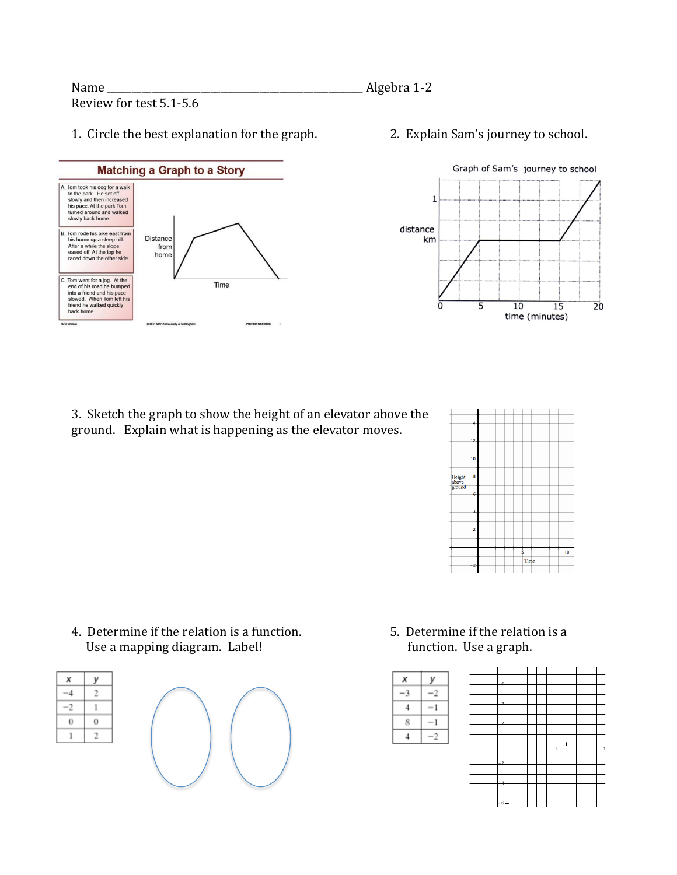## 1. Circle the best explanation for the graph. 2. Explain Sam's journey to school.





3. Sketch the graph to show the height of an elevator above the ground. Explain what is happening as the elevator moves.



4. Determine if the relation is a function. 5. Determine if the relation is a Use a mapping diagram. Label! function. Use a graph.







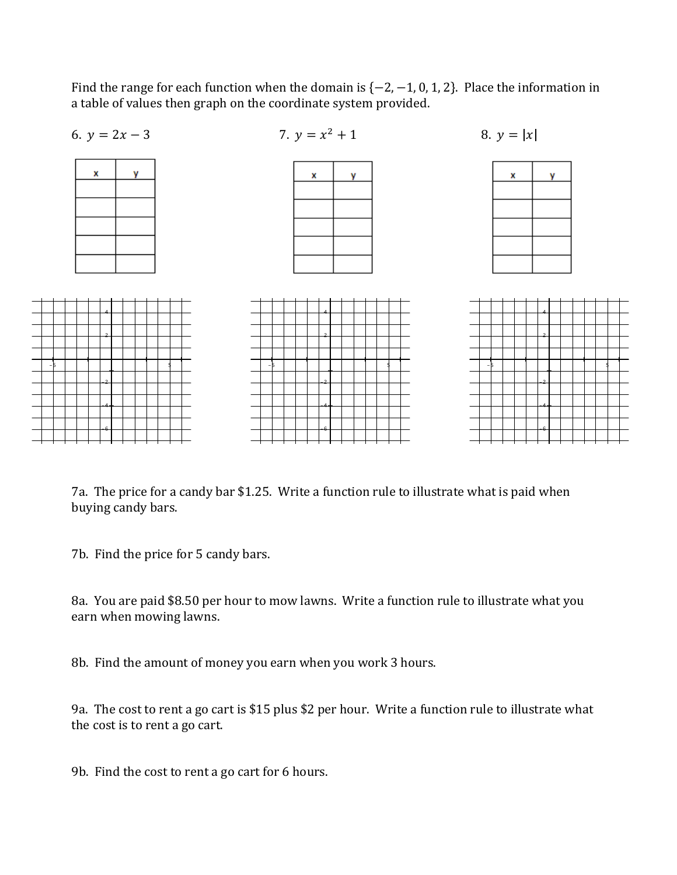Find the range for each function when the domain is  $\{-2, -1, 0, 1, 2\}$ . Place the information in a table of values then graph on the coordinate system provided.



7a. The price for a candy bar \$1.25. Write a function rule to illustrate what is paid when buying candy bars.

7b. Find the price for 5 candy bars.

8a. You are paid \$8.50 per hour to mow lawns. Write a function rule to illustrate what you earn when mowing lawns.

8b. Find the amount of money you earn when you work 3 hours.

9a. The cost to rent a go cart is \$15 plus \$2 per hour. Write a function rule to illustrate what the cost is to rent a go cart.

9b. Find the cost to rent a go cart for 6 hours.